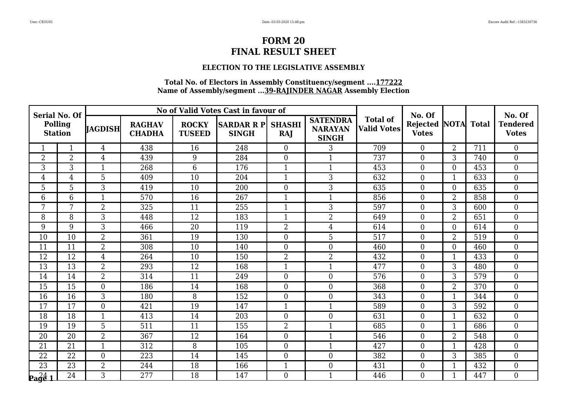### **ELECTION TO THE LEGISLATIVE ASSEMBLY**

| <b>Serial No. Of</b>             |                 |                  |                                |                               | No of Valid Votes Cast in favour of |                  |                                                   |                                       | No. Of                               |                |              | No. Of                          |
|----------------------------------|-----------------|------------------|--------------------------------|-------------------------------|-------------------------------------|------------------|---------------------------------------------------|---------------------------------------|--------------------------------------|----------------|--------------|---------------------------------|
| <b>Polling</b><br><b>Station</b> |                 | <b>JAGDISH</b>   | <b>RAGHAV</b><br><b>CHADHA</b> | <b>ROCKY</b><br><b>TUSEED</b> | SARDAR R P  SHASHI<br><b>SINGH</b>  | RAJ              | <b>SATENDRA</b><br><b>NARAYAN</b><br><b>SINGH</b> | <b>Total of</b><br><b>Valid Votes</b> | <b>Rejected NOTA</b><br><b>Votes</b> |                | <b>Total</b> | <b>Tendered</b><br><b>Votes</b> |
|                                  | $\mathbf{1}$    | $\overline{4}$   | 438                            | 16                            | 248                                 | $\theta$         | 3                                                 | 709                                   | $\overline{0}$                       | $\overline{2}$ | 711          | $\theta$                        |
| 2                                | $\overline{2}$  | 4                | 439                            | 9                             | 284                                 | $\overline{0}$   | $\mathbf{1}$                                      | 737                                   | $\overline{0}$                       | 3              | 740          | $\boldsymbol{0}$                |
| 3                                | 3               | $\mathbf{1}$     | 268                            | $\overline{6}$                | 176                                 | $\mathbf{1}$     | $\mathbf{1}$                                      | 453                                   | $\boldsymbol{0}$                     | $\overline{0}$ | 453          | $\boldsymbol{0}$                |
| 4                                | $\overline{4}$  | 5                | 409                            | 10                            | 204                                 | $\mathbf{1}$     | 3                                                 | 632                                   | $\overline{0}$                       | $\mathbf{1}$   | 633          | $\boldsymbol{0}$                |
| 5                                | $\overline{5}$  | 3                | 419                            | 10                            | 200                                 | $\boldsymbol{0}$ | 3                                                 | 635                                   | $\boldsymbol{0}$                     | $\overline{0}$ | 635          | $\boldsymbol{0}$                |
| 6                                | 6               | $\mathbf{1}$     | 570                            | 16                            | 267                                 | $\mathbf{1}$     | $\mathbf{1}$                                      | 856                                   | $\overline{0}$                       | $\overline{2}$ | 858          | $\overline{0}$                  |
| 7                                | 7               | $\overline{2}$   | 325                            | 11                            | 255                                 | $\mathbf{1}$     | 3                                                 | 597                                   | $\overline{0}$                       | 3              | 600          | $\overline{0}$                  |
| 8                                | 8               | 3                | 448                            | 12                            | 183                                 | $\mathbf{1}$     | $\overline{2}$                                    | 649                                   | $\overline{0}$                       | $\overline{2}$ | 651          | $\boldsymbol{0}$                |
| 9                                | 9               | 3                | 466                            | 20                            | 119                                 | $\overline{2}$   | $\overline{4}$                                    | 614                                   | $\boldsymbol{0}$                     | $\overline{0}$ | 614          | $\boldsymbol{0}$                |
| 10                               | 10              | $\overline{2}$   | 361                            | 19                            | 130                                 | $\overline{0}$   | 5                                                 | 517                                   | $\overline{0}$                       | $\overline{2}$ | 519          | $\boldsymbol{0}$                |
| 11                               | 11              | $\overline{2}$   | 308                            | 10                            | 140                                 | $\boldsymbol{0}$ | $\overline{0}$                                    | 460                                   | $\boldsymbol{0}$                     | $\overline{0}$ | 460          | $\boldsymbol{0}$                |
| 12                               | 12              | $\overline{4}$   | 264                            | 10                            | 150                                 | $\overline{2}$   | $\overline{2}$                                    | 432                                   | $\boldsymbol{0}$                     | $\mathbf{1}$   | 433          | $\boldsymbol{0}$                |
| 13                               | 13              | $\overline{2}$   | 293                            | 12                            | 168                                 | $\mathbf{1}$     | $\mathbf{1}$                                      | 477                                   | $\overline{0}$                       | 3              | 480          | $\overline{0}$                  |
| 14                               | 14              | $\overline{2}$   | 314                            | 11                            | 249                                 | $\overline{0}$   | $\overline{0}$                                    | 576                                   | $\overline{0}$                       | 3              | 579          | $\boldsymbol{0}$                |
| 15                               | 15              | $\overline{0}$   | 186                            | 14                            | 168                                 | $\boldsymbol{0}$ | $\boldsymbol{0}$                                  | 368                                   | $\boldsymbol{0}$                     | $\overline{2}$ | 370          | $\boldsymbol{0}$                |
| 16                               | 16              | 3                | 180                            | 8                             | 152                                 | $\boldsymbol{0}$ | $\overline{0}$                                    | 343                                   | $\boldsymbol{0}$                     | $\mathbf{1}$   | 344          | $\boldsymbol{0}$                |
| 17                               | 17              | $\overline{0}$   | 421                            | 19                            | 147                                 | $\mathbf{1}$     | $\mathbf{1}$                                      | 589                                   | $\boldsymbol{0}$                     | 3              | 592          | $\boldsymbol{0}$                |
| $\overline{18}$                  | 18              | $\mathbf{1}$     | 413                            | 14                            | $\overline{203}$                    | $\theta$         | $\overline{0}$                                    | 631                                   | $\overline{0}$                       | $\mathbf{1}$   | 632          | $\overline{0}$                  |
| 19                               | 19              | 5                | 511                            | 11                            | 155                                 | $\overline{2}$   | $\mathbf{1}$                                      | 685                                   | $\overline{0}$                       | 1              | 686          | $\boldsymbol{0}$                |
| 20                               | 20              | $\overline{2}$   | 367                            | 12                            | 164                                 | $\boldsymbol{0}$ | $\mathbf{1}$                                      | 546                                   | $\boldsymbol{0}$                     | $\overline{2}$ | 548          | $\boldsymbol{0}$                |
| 21                               | 21              | $\mathbf{1}$     | 312                            | 8                             | 105                                 | $\overline{0}$   | $\mathbf{1}$                                      | 427                                   | $\overline{0}$                       | $\mathbf{1}$   | 428          | $\overline{0}$                  |
| 22                               | 22              | $\boldsymbol{0}$ | 223                            | 14                            | 145                                 | $\boldsymbol{0}$ | $\boldsymbol{0}$                                  | 382                                   | $\overline{0}$                       | 3              | 385          | $\boldsymbol{0}$                |
| $\overline{23}$                  | $\overline{23}$ | $\overline{2}$   | 244                            | 18                            | 166                                 | $\mathbf{1}$     | $\overline{0}$                                    | 431                                   | $\boldsymbol{0}$                     | $\mathbf{1}$   | 432          | $\mathbf{0}$                    |
| $\log_{4}^{24}$ 1                | 24              | 3                | 277                            | 18                            | 147                                 | $\theta$         | $\mathbf{1}$                                      | 446                                   | $\Omega$                             | $\mathbf{1}$   | 447          | $\overline{0}$                  |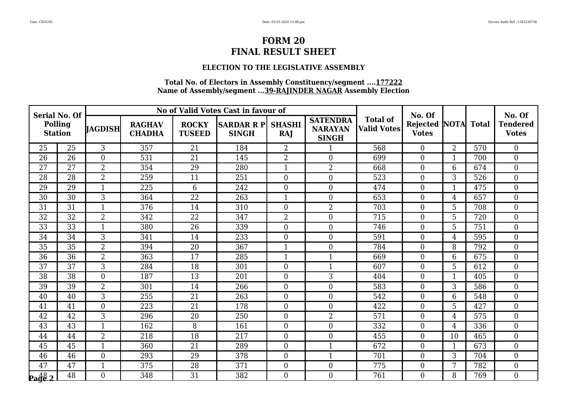### **ELECTION TO THE LEGISLATIVE ASSEMBLY**

| <b>Serial No. Of</b>             |                 |                |                                | No of Valid Votes Cast in favour of<br>No. Of |                                   |                      | No. Of                                            |                                       |                                 |                   |     |                                 |
|----------------------------------|-----------------|----------------|--------------------------------|-----------------------------------------------|-----------------------------------|----------------------|---------------------------------------------------|---------------------------------------|---------------------------------|-------------------|-----|---------------------------------|
| <b>Polling</b><br><b>Station</b> |                 | IAGDISH        | <b>RAGHAV</b><br><b>CHADHA</b> | <b>ROCKY</b><br><b>TUSEED</b>                 | <b>SARDAR R P</b><br><b>SINGH</b> | <b>SHASHI</b><br>RAJ | <b>SATENDRA</b><br><b>NARAYAN</b><br><b>SINGH</b> | <b>Total of</b><br><b>Valid Votes</b> | <b>Rejected</b><br><b>Votes</b> | <b>NOTA</b> Total |     | <b>Tendered</b><br><b>Votes</b> |
| 25                               | 25              | 3              | 357                            | 21                                            | 184                               | $\overline{2}$       |                                                   | 568                                   | $\theta$                        | $\overline{2}$    | 570 | $\overline{0}$                  |
| 26                               | 26              | $\overline{0}$ | 531                            | 21                                            | 145                               | $\overline{2}$       | $\overline{0}$                                    | 699                                   | $\overline{0}$                  | 1                 | 700 | $\boldsymbol{0}$                |
| 27                               | 27              | $\overline{2}$ | 354                            | 29                                            | 280                               | $\mathbf{1}$         | $\overline{2}$                                    | 668                                   | $\boldsymbol{0}$                | 6                 | 674 | $\overline{0}$                  |
| 28                               | 28              | $\overline{2}$ | 259                            | 11                                            | 251                               | $\overline{0}$       | $\boldsymbol{0}$                                  | 523                                   | $\overline{0}$                  | 3                 | 526 | $\boldsymbol{0}$                |
| 29                               | 29              |                | 225                            | 6                                             | 242                               | $\boldsymbol{0}$     | $\boldsymbol{0}$                                  | 474                                   | $\overline{0}$                  | $\mathbf 1$       | 475 | $\boldsymbol{0}$                |
| 30                               | 30              | 3              | 364                            | 22                                            | 263                               | $\mathbf{1}$         | $\boldsymbol{0}$                                  | 653                                   | $\overline{0}$                  | $\overline{4}$    | 657 | $\overline{0}$                  |
| 31                               | 31              | $\mathbf{1}$   | 376                            | 14                                            | 310                               | $\overline{0}$       | $\overline{2}$                                    | 703                                   | $\overline{0}$                  | 5                 | 708 | $\boldsymbol{0}$                |
| 32                               | 32              | $\overline{2}$ | 342                            | $\overline{22}$                               | 347                               | $\overline{2}$       | $\overline{0}$                                    | 715                                   | $\overline{0}$                  | 5                 | 720 | $\boldsymbol{0}$                |
| $\overline{33}$                  | $\overline{33}$ | $\mathbf{1}$   | 380                            | $\overline{26}$                               | 339                               | $\boldsymbol{0}$     | $\boldsymbol{0}$                                  | 746                                   | $\boldsymbol{0}$                | 5                 | 751 | $\boldsymbol{0}$                |
| 34                               | 34              | 3              | 341                            | 14                                            | 233                               | $\overline{0}$       | $\overline{0}$                                    | 591                                   | $\overline{0}$                  | 4                 | 595 | $\overline{0}$                  |
| 35                               | 35              | $\overline{2}$ | 394                            | 20                                            | 367                               | $\mathbf{1}$         | $\boldsymbol{0}$                                  | 784                                   | $\overline{0}$                  | 8                 | 792 | $\boldsymbol{0}$                |
| 36                               | 36              | $\overline{2}$ | 363                            | 17                                            | 285                               | $\mathbf{1}$         | $\mathbf{1}$                                      | 669                                   | $\boldsymbol{0}$                | 6                 | 675 | $\boldsymbol{0}$                |
| 37                               | 37              | 3              | 284                            | 18                                            | 301                               | $\overline{0}$       | $\mathbf{1}$                                      | 607                                   | $\overline{0}$                  | 5                 | 612 | $\overline{0}$                  |
| 38                               | 38              | $\overline{0}$ | 187                            | 13                                            | 201                               | $\overline{0}$       | 3                                                 | 404                                   | $\overline{0}$                  | $\mathbf{1}$      | 405 | $\overline{0}$                  |
| 39                               | 39              | $\overline{2}$ | 301                            | 14                                            | 266                               | $\overline{0}$       | $\boldsymbol{0}$                                  | 583                                   | $\boldsymbol{0}$                | 3                 | 586 | $\boldsymbol{0}$                |
| 40                               | 40              | 3              | 255                            | 21                                            | 263                               | $\boldsymbol{0}$     | $\boldsymbol{0}$                                  | 542                                   | $\overline{0}$                  | 6                 | 548 | $\overline{0}$                  |
| 41                               | 41              | $\overline{0}$ | 223                            | 21                                            | 178                               | $\boldsymbol{0}$     | $\overline{0}$                                    | 422                                   | $\boldsymbol{0}$                | 5                 | 427 | $\overline{0}$                  |
| $\overline{42}$                  | $\overline{42}$ | $\overline{3}$ | 296                            | $\overline{20}$                               | 250                               | $\theta$             | $\overline{2}$                                    | 571                                   | $\theta$                        | 4                 | 575 | $\overline{0}$                  |
| 43                               | 43              | $\mathbf{1}$   | 162                            | 8                                             | 161                               | $\overline{0}$       | $\boldsymbol{0}$                                  | 332                                   | $\overline{0}$                  | 4                 | 336 | $\boldsymbol{0}$                |
| 44                               | 44              | $\overline{2}$ | 218                            | 18                                            | 217                               | $\overline{0}$       | $\boldsymbol{0}$                                  | 455                                   | $\overline{0}$                  | 10                | 465 | $\overline{0}$                  |
| 45                               | 45              | $\mathbf{1}$   | 360                            | 21                                            | 289                               | $\overline{0}$       | $\mathbf{1}$                                      | 672                                   | $\overline{0}$                  | $\mathbf{1}$      | 673 | $\overline{0}$                  |
| 46                               | 46              | $\overline{0}$ | 293                            | 29                                            | 378                               | $\boldsymbol{0}$     | $\mathbf{1}$                                      | 701                                   | $\boldsymbol{0}$                | 3                 | 704 | $\boldsymbol{0}$                |
| 47                               | $\overline{47}$ | $\mathbf{1}$   | 375                            | $\overline{28}$                               | 371                               | $\boldsymbol{0}$     | $\boldsymbol{0}$                                  | 775                                   | $\overline{0}$                  | 7                 | 782 | $\overline{0}$                  |
| $\frac{1}{2}$                    | 48              | $\overline{0}$ | 348                            | 31                                            | 382                               | $\theta$             | $\mathbf{0}$                                      | 761                                   | $\theta$                        | 8                 | 769 | $\overline{0}$                  |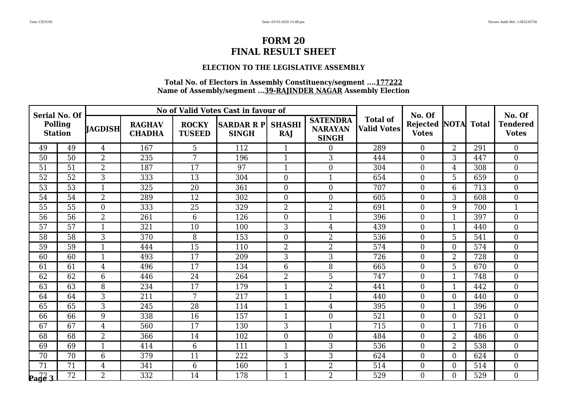### **ELECTION TO THE LEGISLATIVE ASSEMBLY**

| <b>Serial No. Of</b>             |                 |                |                                |                               | No of Valid Votes Cast in favour of |                      |                                                   |                                       | No. Of                          |                   |     | No. Of                          |
|----------------------------------|-----------------|----------------|--------------------------------|-------------------------------|-------------------------------------|----------------------|---------------------------------------------------|---------------------------------------|---------------------------------|-------------------|-----|---------------------------------|
| <b>Polling</b><br><b>Station</b> |                 | IAGDISH        | <b>RAGHAV</b><br><b>CHADHA</b> | <b>ROCKY</b><br><b>TUSEED</b> | <b>SARDAR R P</b><br><b>SINGH</b>   | <b>SHASHI</b><br>RAJ | <b>SATENDRA</b><br><b>NARAYAN</b><br><b>SINGH</b> | <b>Total of</b><br><b>Valid Votes</b> | <b>Rejected</b><br><b>Votes</b> | <b>NOTA</b> Total |     | <b>Tendered</b><br><b>Votes</b> |
| 49                               | 49              | $\overline{4}$ | 167                            | 5                             | 112                                 | $\mathbf{1}$         | $\overline{0}$                                    | 289                                   | $\theta$                        | $\overline{2}$    | 291 | $\overline{0}$                  |
| 50                               | 50              | $\overline{2}$ | 235                            | 7                             | 196                                 | $\mathbf{1}$         | 3                                                 | 444                                   | $\overline{0}$                  | 3                 | 447 | $\boldsymbol{0}$                |
| 51                               | 51              | $\overline{2}$ | 187                            | 17                            | 97                                  | $\mathbf{1}$         | $\boldsymbol{0}$                                  | 304                                   | $\boldsymbol{0}$                | $\overline{4}$    | 308 | $\overline{0}$                  |
| 52                               | $\overline{52}$ | 3              | 333                            | 13                            | 304                                 | $\overline{0}$       | $\mathbf{1}$                                      | 654                                   | $\overline{0}$                  | 5                 | 659 | $\boldsymbol{0}$                |
| 53                               | 53              | 1              | 325                            | 20                            | 361                                 | $\mathbf{0}$         | $\boldsymbol{0}$                                  | 707                                   | $\overline{0}$                  | 6                 | 713 | $\boldsymbol{0}$                |
| 54                               | 54              | $\overline{2}$ | 289                            | 12                            | 302                                 | $\overline{0}$       | $\boldsymbol{0}$                                  | 605                                   | $\overline{0}$                  | 3                 | 608 | $\overline{0}$                  |
| 55                               | 55              | $\overline{0}$ | 333                            | 25                            | 329                                 | $\overline{2}$       | $\overline{2}$                                    | 691                                   | $\overline{0}$                  | 9                 | 700 | $\mathbf{1}$                    |
| 56                               | 56              | $\overline{2}$ | 261                            | 6                             | 126                                 | $\overline{0}$       | $\mathbf{1}$                                      | 396                                   | $\overline{0}$                  | 1                 | 397 | $\boldsymbol{0}$                |
| 57                               | $\overline{57}$ | $\mathbf{1}$   | 321                            | 10                            | 100                                 | 3                    | $\overline{4}$                                    | 439                                   | $\mathbf{0}$                    | $\mathbf{1}$      | 440 | $\boldsymbol{0}$                |
| 58                               | 58              | 3              | 370                            | 8                             | 153                                 | $\overline{0}$       | $\overline{2}$                                    | 536                                   | $\overline{0}$                  | 5                 | 541 | $\overline{0}$                  |
| 59                               | 59              | $\mathbf{1}$   | 444                            | 15                            | 110                                 | $\overline{2}$       | $\overline{2}$                                    | 574                                   | $\overline{0}$                  | $\overline{0}$    | 574 | $\boldsymbol{0}$                |
| 60                               | 60              | $\mathbf{1}$   | 493                            | 17                            | 209                                 | 3                    | $\mathfrak{Z}$                                    | 726                                   | $\boldsymbol{0}$                | $\overline{2}$    | 728 | $\boldsymbol{0}$                |
| 61                               | 61              | $\overline{4}$ | 496                            | 17                            | 134                                 | 6                    | 8                                                 | 665                                   | $\overline{0}$                  | 5                 | 670 | $\overline{0}$                  |
| 62                               | 62              | 6              | 446                            | 24                            | 264                                 | $\overline{2}$       | 5                                                 | 747                                   | $\overline{0}$                  | $\mathbf{1}$      | 748 | $\overline{0}$                  |
| 63                               | 63              | 8              | 234                            | 17                            | 179                                 | $\mathbf{1}$         | $\overline{2}$                                    | 441                                   | $\boldsymbol{0}$                | $\mathbf{1}$      | 442 | $\boldsymbol{0}$                |
| 64                               | 64              | 3              | 211                            | 7                             | 217                                 | $\mathbf{1}$         | $\mathbf{1}$                                      | 440                                   | $\overline{0}$                  | $\overline{0}$    | 440 | $\boldsymbol{0}$                |
| 65                               | 65              | 3              | 245                            | 28                            | 114                                 | $\mathbf{1}$         | $\overline{4}$                                    | 395                                   | $\boldsymbol{0}$                | $\mathbf{1}$      | 396 | $\overline{0}$                  |
| 66                               | 66              | 9              | 338                            | $\overline{16}$               | 157                                 | $\mathbf{1}$         | $\mathbf{0}$                                      | 521                                   | $\theta$                        | $\Omega$          | 521 | $\overline{0}$                  |
| 67                               | 67              | $\overline{4}$ | 560                            | 17                            | 130                                 | 3                    | $\mathbf{1}$                                      | 715                                   | $\overline{0}$                  | $\mathbf 1$       | 716 | $\boldsymbol{0}$                |
| 68                               | 68              | $\overline{2}$ | 366                            | 14                            | 102                                 | $\boldsymbol{0}$     | $\boldsymbol{0}$                                  | 484                                   | $\overline{0}$                  | $\overline{2}$    | 486 | $\overline{0}$                  |
| 69                               | 69              | $\mathbf{1}$   | 414                            | 6                             | 111                                 | $\mathbf{1}$         | 3                                                 | 536                                   | $\overline{0}$                  | $\overline{2}$    | 538 | $\overline{0}$                  |
| 70                               | 70              | 6              | 379                            | 11                            | 222                                 | 3                    | 3                                                 | 624                                   | $\overline{0}$                  | $\overline{0}$    | 624 | $\boldsymbol{0}$                |
| 71                               | $\overline{71}$ | $\overline{4}$ | 341                            | $\overline{6}$                | 160                                 | $\mathbf{1}$         | $\overline{2}$                                    | 514                                   | $\overline{0}$                  | $\overline{0}$    | 514 | $\overline{0}$                  |
| $\sqrt{\frac{72}{9}}$            | $\overline{72}$ | $\overline{2}$ | 332                            | 14                            | 178                                 | $\mathbf{1}$         | $\overline{2}$                                    | 529                                   | $\theta$                        | $\Omega$          | 529 | $\overline{0}$                  |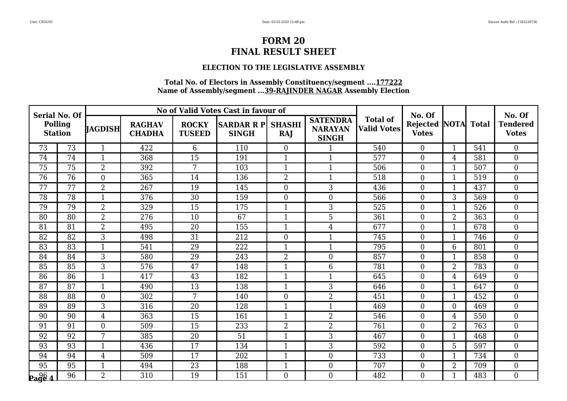### **ELECTION TO THE LEGISLATIVE ASSEMBLY**

| <b>Serial No. Of</b>             |                 |                |                                |                               | No of Valid Votes Cast in favour of |                      |                                                   |                                       | No. Of                          |                   |     | No. Of                          |
|----------------------------------|-----------------|----------------|--------------------------------|-------------------------------|-------------------------------------|----------------------|---------------------------------------------------|---------------------------------------|---------------------------------|-------------------|-----|---------------------------------|
| <b>Polling</b><br><b>Station</b> |                 | IAGDISH        | <b>RAGHAV</b><br><b>CHADHA</b> | <b>ROCKY</b><br><b>TUSEED</b> | <b>SARDAR R P</b><br><b>SINGH</b>   | <b>SHASHI</b><br>RAJ | <b>SATENDRA</b><br><b>NARAYAN</b><br><b>SINGH</b> | <b>Total of</b><br><b>Valid Votes</b> | <b>Rejected</b><br><b>Votes</b> | <b>NOTA</b> Total |     | <b>Tendered</b><br><b>Votes</b> |
| 73                               | 73              | $\mathbf{1}$   | 422                            | 6                             | 110                                 | $\theta$             |                                                   | 540                                   | $\theta$                        | $\mathbf{1}$      | 541 | $\overline{0}$                  |
| 74                               | 74              | 1              | 368                            | 15                            | 191                                 | 1                    | $\mathbf{1}$                                      | 577                                   | $\overline{0}$                  | 4                 | 581 | $\boldsymbol{0}$                |
| 75                               | 75              | $\overline{2}$ | 392                            | 7                             | 103                                 | $\mathbf{1}$         | $\mathbf{1}$                                      | 506                                   | $\boldsymbol{0}$                | $\mathbf{1}$      | 507 | $\overline{0}$                  |
| 76                               | $\overline{76}$ | $\overline{0}$ | 365                            | 14                            | 136                                 | $\overline{2}$       | $\mathbf{1}$                                      | 518                                   | $\overline{0}$                  | $\mathbf{1}$      | 519 | $\boldsymbol{0}$                |
| 77                               | 77              | 2              | 267                            | 19                            | 145                                 | $\boldsymbol{0}$     | 3                                                 | 436                                   | $\boldsymbol{0}$                | $\mathbf{1}$      | 437 | $\boldsymbol{0}$                |
| 78                               | 78              | $\mathbf{1}$   | 376                            | 30                            | 159                                 | $\mathbf{0}$         | $\boldsymbol{0}$                                  | 566                                   | $\mathbf{0}$                    | 3                 | 569 | $\overline{0}$                  |
| 79                               | 79              | $\overline{2}$ | 329                            | 15                            | 175                                 | $\mathbf{1}$         | 3                                                 | 525                                   | $\overline{0}$                  | $\mathbf{1}$      | 526 | $\boldsymbol{0}$                |
| 80                               | 80              | $\overline{2}$ | 276                            | 10                            | 67                                  | $\mathbf{1}$         | $\overline{5}$                                    | 361                                   | $\overline{0}$                  | $\overline{2}$    | 363 | $\boldsymbol{0}$                |
| 81                               | 81              | $\overline{2}$ | 495                            | 20                            | 155                                 | $\mathbf{1}$         | $\overline{4}$                                    | 677                                   | $\mathbf{0}$                    | $\mathbf{1}$      | 678 | $\boldsymbol{0}$                |
| 82                               | 82              | 3              | 498                            | 31                            | 212                                 | $\overline{0}$       | $\mathbf{1}$                                      | 745                                   | $\overline{0}$                  | 1                 | 746 | $\overline{0}$                  |
| 83                               | 83              | 1              | 541                            | 29                            | 222                                 | $\mathbf{1}$         | $\mathbf{1}$                                      | 795                                   | $\overline{0}$                  | 6                 | 801 | $\boldsymbol{0}$                |
| 84                               | 84              | 3              | 580                            | 29                            | 243                                 | $\overline{2}$       | $\boldsymbol{0}$                                  | 857                                   | $\mathbf{0}$                    | $\mathbf{1}$      | 858 | $\boldsymbol{0}$                |
| 85                               | 85              | 3              | 576                            | 47                            | 148                                 | $\mathbf{1}$         | $6\phantom{1}6$                                   | 781                                   | $\overline{0}$                  | $\overline{2}$    | 783 | $\overline{0}$                  |
| 86                               | 86              | 1              | 417                            | 43                            | 182                                 | $\mathbf{1}$         | $\mathbf{1}$                                      | 645                                   | $\overline{0}$                  | 4                 | 649 | $\overline{0}$                  |
| 87                               | 87              | 1              | 490                            | 13                            | 138                                 | $\mathbf{1}$         | 3                                                 | 646                                   | $\mathbf{0}$                    | $\mathbf{1}$      | 647 | $\boldsymbol{0}$                |
| 88                               | 88              | $\overline{0}$ | 302                            | 7                             | 140                                 | $\boldsymbol{0}$     | $\overline{2}$                                    | 451                                   | $\overline{0}$                  | $\mathbf{1}$      | 452 | $\boldsymbol{0}$                |
| 89                               | 89              | 3              | 316                            | 20                            | 128                                 | $\mathbf{1}$         | $\mathbf{1}$                                      | 469                                   | $\boldsymbol{0}$                | $\overline{0}$    | 469 | $\overline{0}$                  |
| $\overline{90}$                  | 90              | $\overline{4}$ | 363                            | $\overline{15}$               | 161                                 | $\mathbf{1}$         | $\overline{2}$                                    | 546                                   | $\theta$                        | $\overline{4}$    | 550 | $\overline{0}$                  |
| 91                               | 91              | $\overline{0}$ | 509                            | 15                            | 233                                 | $\overline{2}$       | $\overline{2}$                                    | 761                                   | $\overline{0}$                  | $\overline{2}$    | 763 | $\boldsymbol{0}$                |
| 92                               | 92              | 7              | 385                            | 20                            | 51                                  | $\mathbf{1}$         | 3                                                 | 467                                   | $\overline{0}$                  | $\mathbf{1}$      | 468 | $\overline{0}$                  |
| 93                               | 93              | $\mathbf{1}$   | 436                            | 17                            | 134                                 | $\mathbf{1}$         | 3                                                 | 592                                   | $\overline{0}$                  | 5                 | 597 | $\overline{0}$                  |
| 94                               | 94              | $\overline{4}$ | 509                            | 17                            | 202                                 | $\mathbf{1}$         | $\boldsymbol{0}$                                  | 733                                   | $\boldsymbol{0}$                | $\mathbf{1}$      | 734 | $\boldsymbol{0}$                |
| $\overline{95}$                  | 95              | $\mathbf{1}$   | 494                            | 23                            | 188                                 | $\mathbf{1}$         | $\boldsymbol{0}$                                  | 707                                   | $\overline{0}$                  | $\overline{2}$    | 709 | $\overline{0}$                  |
| $\frac{96}{2964}$                | 96              | $\overline{2}$ | 310                            | 19                            | 151                                 | $\theta$             | $\mathbf{0}$                                      | 482                                   | $\theta$                        | $\mathbf{1}$      | 483 | $\overline{0}$                  |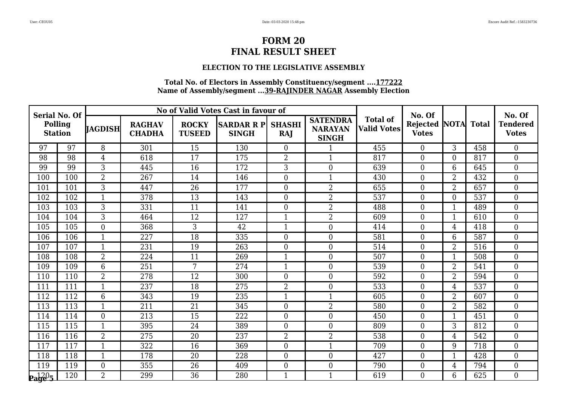### **ELECTION TO THE LEGISLATIVE ASSEMBLY**

| <b>Serial No. Of</b>             |     |                |                                |                               | No of Valid Votes Cast in favour of |                      |                                                   |                                       | No. Of                          |                   |     | No. Of                          |
|----------------------------------|-----|----------------|--------------------------------|-------------------------------|-------------------------------------|----------------------|---------------------------------------------------|---------------------------------------|---------------------------------|-------------------|-----|---------------------------------|
| <b>Polling</b><br><b>Station</b> |     | <b>JAGDISH</b> | <b>RAGHAV</b><br><b>CHADHA</b> | <b>ROCKY</b><br><b>TUSEED</b> | <b>SARDAR R PI</b><br><b>SINGH</b>  | <b>SHASHI</b><br>RAJ | <b>SATENDRA</b><br><b>NARAYAN</b><br><b>SINGH</b> | <b>Total of</b><br><b>Valid Votes</b> | <b>Rejected</b><br><b>Votes</b> | <b>NOTA</b> Total |     | <b>Tendered</b><br><b>Votes</b> |
| 97                               | 97  | 8              | 301                            | 15                            | 130                                 | $\overline{0}$       |                                                   | 455                                   | $\theta$                        | 3                 | 458 | $\Omega$                        |
| 98                               | 98  | $\overline{4}$ | 618                            | 17                            | 175                                 | $\overline{2}$       | $\mathbf{1}$                                      | 817                                   | $\overline{0}$                  | $\overline{0}$    | 817 | $\boldsymbol{0}$                |
| 99                               | 99  | 3              | 445                            | 16                            | 172                                 | 3                    | $\overline{0}$                                    | 639                                   | $\overline{0}$                  | 6                 | 645 | $\boldsymbol{0}$                |
| 100                              | 100 | $\overline{2}$ | 267                            | 14                            | 146                                 | $\overline{0}$       | $\mathbf{1}$                                      | 430                                   | $\Omega$                        | $\overline{2}$    | 432 | $\boldsymbol{0}$                |
| 101                              | 101 | 3              | 447                            | 26                            | 177                                 | $\overline{0}$       | $\overline{2}$                                    | 655                                   | $\overline{0}$                  | 2                 | 657 | $\boldsymbol{0}$                |
| 102                              | 102 | $\mathbf{1}$   | 378                            | 13                            | 143                                 | $\overline{0}$       | $\overline{2}$                                    | 537                                   | $\overline{0}$                  | $\overline{0}$    | 537 | $\mathbf{0}$                    |
| 103                              | 103 | 3              | 331                            | 11                            | 141                                 | $\Omega$             | $\overline{2}$                                    | 488                                   | $\Omega$                        | $\mathbf{1}$      | 489 | $\overline{0}$                  |
| 104                              | 104 | 3              | 464                            | 12                            | 127                                 | $\mathbf{1}$         | $\overline{2}$                                    | 609                                   | $\overline{0}$                  | 1                 | 610 | $\boldsymbol{0}$                |
| 105                              | 105 | $\overline{0}$ | 368                            | 3                             | 42                                  | $\mathbf{1}$         | $\boldsymbol{0}$                                  | 414                                   | $\overline{0}$                  | $\overline{4}$    | 418 | $\boldsymbol{0}$                |
| 106                              | 106 | $\mathbf{1}$   | 227                            | 18                            | 335                                 | $\overline{0}$       | $\overline{0}$                                    | 581                                   | $\Omega$                        | 6                 | 587 | $\boldsymbol{0}$                |
| 107                              | 107 | $\mathbf{1}$   | 231                            | 19                            | 263                                 | $\boldsymbol{0}$     | $\overline{0}$                                    | 514                                   | $\overline{0}$                  | $\overline{2}$    | 516 | $\boldsymbol{0}$                |
| 108                              | 108 | $\overline{2}$ | 224                            | 11                            | 269                                 | $\mathbf{1}$         | $\overline{0}$                                    | 507                                   | $\overline{0}$                  | $\mathbf{1}$      | 508 | $\boldsymbol{0}$                |
| 109                              | 109 | 6              | 251                            | 7                             | 274                                 | $\mathbf{1}$         | $\overline{0}$                                    | 539                                   | $\Omega$                        | $\overline{2}$    | 541 | $\overline{0}$                  |
| 110                              | 110 | $\overline{2}$ | 278                            | 12                            | 300                                 | $\overline{0}$       | $\overline{0}$                                    | 592                                   | $\Omega$                        | $\overline{2}$    | 594 | $\boldsymbol{0}$                |
| 111                              | 111 | $\mathbf{1}$   | 237                            | 18                            | 275                                 | $\overline{2}$       | $\boldsymbol{0}$                                  | 533                                   | $\overline{0}$                  | $\overline{4}$    | 537 | $\boldsymbol{0}$                |
| 112                              | 112 | 6              | 343                            | 19                            | 235                                 | $\mathbf{1}$         | $\mathbf{1}$                                      | 605                                   | $\overline{0}$                  | $\overline{2}$    | 607 | $\boldsymbol{0}$                |
| 113                              | 113 | $\mathbf{1}$   | 211                            | 21                            | 345                                 | $\boldsymbol{0}$     | $\overline{2}$                                    | 580                                   | $\overline{0}$                  | $\overline{2}$    | 582 | $\boldsymbol{0}$                |
| 114                              | 114 | $\overline{0}$ | 213                            | $\overline{15}$               | 222                                 | $\Omega$             | $\overline{0}$                                    | 450                                   | $\theta$                        | $\overline{1}$    | 451 | $\overline{0}$                  |
| 115                              | 115 | $\mathbf{1}$   | 395                            | 24                            | 389                                 | $\overline{0}$       | $\overline{0}$                                    | 809                                   | $\Omega$                        | 3                 | 812 | $\boldsymbol{0}$                |
| 116                              | 116 | $\overline{2}$ | 275                            | 20                            | 237                                 | $\overline{2}$       | $\overline{2}$                                    | 538                                   | $\overline{0}$                  | $\overline{4}$    | 542 | $\boldsymbol{0}$                |
| 117                              | 117 | $\mathbf{1}$   | 322                            | 16                            | 369                                 | $\overline{0}$       | $\mathbf{1}$                                      | 709                                   | $\Omega$                        | 9                 | 718 | $\overline{0}$                  |
| 118                              | 118 | $\mathbf{1}$   | 178                            | 20                            | 228                                 | $\overline{0}$       | $\overline{0}$                                    | 427                                   | $\overline{0}$                  | $\mathbf{1}$      | 428 | $\boldsymbol{0}$                |
| 119                              | 119 | $\overline{0}$ | 355                            | 26                            | 409                                 | $\overline{0}$       | $\boldsymbol{0}$                                  | 790                                   | $\overline{0}$                  | $\overline{4}$    | 794 | $\mathbf{0}$                    |
| $\mathbf{p_1}^{120}$ 5           | 120 | $\overline{2}$ | 299                            | 36                            | 280                                 | $\mathbf{1}$         | $\mathbf{1}$                                      | 619                                   | $\Omega$                        | 6                 | 625 | $\overline{0}$                  |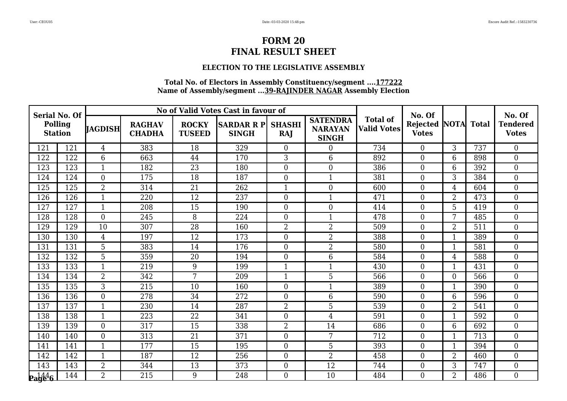### **ELECTION TO THE LEGISLATIVE ASSEMBLY**

| <b>Serial No. Of</b>                         |     |                |                                |                               | No of Valid Votes Cast in favour of |                      |                                                   |                                       | No. Of                                     |                |     | No. Of                          |
|----------------------------------------------|-----|----------------|--------------------------------|-------------------------------|-------------------------------------|----------------------|---------------------------------------------------|---------------------------------------|--------------------------------------------|----------------|-----|---------------------------------|
| <b>Polling</b><br><b>Station</b>             |     | <b>JAGDISH</b> | <b>RAGHAV</b><br><b>CHADHA</b> | <b>ROCKY</b><br><b>TUSEED</b> | <b>SARDAR R PI</b><br><b>SINGH</b>  | <b>SHASHI</b><br>RAJ | <b>SATENDRA</b><br><b>NARAYAN</b><br><b>SINGH</b> | <b>Total of</b><br><b>Valid Votes</b> | <b>Rejected NOTA Total</b><br><b>Votes</b> |                |     | <b>Tendered</b><br><b>Votes</b> |
| 121                                          | 121 | $\overline{4}$ | 383                            | 18                            | 329                                 | $\overline{0}$       | $\overline{0}$                                    | 734                                   | $\overline{0}$                             | $\overline{3}$ | 737 | $\overline{0}$                  |
| 122                                          | 122 | 6              | 663                            | 44                            | 170                                 | 3                    | 6                                                 | 892                                   | $\overline{0}$                             | 6              | 898 | $\boldsymbol{0}$                |
| 123                                          | 123 | $\mathbf{1}$   | 182                            | 23                            | 180                                 | $\overline{0}$       | $\boldsymbol{0}$                                  | 386                                   | $\boldsymbol{0}$                           | 6              | 392 | $\overline{0}$                  |
| 124                                          | 124 | $\Omega$       | 175                            | 18                            | 187                                 | $\overline{0}$       | $\mathbf{1}$                                      | 381                                   | $\overline{0}$                             | 3              | 384 | $\overline{0}$                  |
| 125                                          | 125 | $\overline{2}$ | 314                            | 21                            | 262                                 | $\mathbf{1}$         | $\boldsymbol{0}$                                  | 600                                   | $\overline{0}$                             | 4              | 604 | $\boldsymbol{0}$                |
| 126                                          | 126 | $\mathbf{1}$   | 220                            | 12                            | 237                                 | $\overline{0}$       | $\mathbf{1}$                                      | 471                                   | $\overline{0}$                             | $\overline{2}$ | 473 | $\overline{0}$                  |
| 127                                          | 127 | $\mathbf{1}$   | 208                            | 15                            | 190                                 | $\overline{0}$       | $\boldsymbol{0}$                                  | 414                                   | $\theta$                                   | 5              | 419 | $\overline{0}$                  |
| 128                                          | 128 | $\overline{0}$ | 245                            | 8                             | 224                                 | $\overline{0}$       | $\mathbf{1}$                                      | 478                                   | $\overline{0}$                             | 7              | 485 | $\boldsymbol{0}$                |
| 129                                          | 129 | 10             | 307                            | 28                            | 160                                 | $\overline{2}$       | $\overline{2}$                                    | 509                                   | $\boldsymbol{0}$                           | $\overline{2}$ | 511 | $\boldsymbol{0}$                |
| 130                                          | 130 | 4              | 197                            | 12                            | 173                                 | $\theta$             | $\overline{2}$                                    | 388                                   | $\overline{0}$                             | $\mathbf{1}$   | 389 | $\overline{0}$                  |
| 131                                          | 131 | 5              | 383                            | 14                            | 176                                 | $\overline{0}$       | $\overline{2}$                                    | 580                                   | $\overline{0}$                             | $\mathbf{1}$   | 581 | $\boldsymbol{0}$                |
| 132                                          | 132 | 5              | 359                            | 20                            | 194                                 | $\overline{0}$       | $6\phantom{.}6$                                   | 584                                   | $\overline{0}$                             | $\overline{4}$ | 588 | $\boldsymbol{0}$                |
| 133                                          | 133 | $\mathbf{1}$   | 219                            | 9                             | 199                                 | $\mathbf{1}$         | $\mathbf{1}$                                      | 430                                   | $\overline{0}$                             | $\mathbf{1}$   | 431 | $\overline{0}$                  |
| 134                                          | 134 | $\overline{2}$ | 342                            | 7                             | 209                                 | $\mathbf{1}$         | 5                                                 | 566                                   | $\overline{0}$                             | $\overline{0}$ | 566 | $\overline{0}$                  |
| 135                                          | 135 | 3              | 215                            | 10                            | 160                                 | $\overline{0}$       | $\mathbf{1}$                                      | 389                                   | $\mathbf{0}$                               | $\mathbf{1}$   | 390 | $\boldsymbol{0}$                |
| 136                                          | 136 | $\overline{0}$ | 278                            | 34                            | 272                                 | $\overline{0}$       | $6\phantom{.}6$                                   | 590                                   | $\overline{0}$                             | 6              | 596 | $\boldsymbol{0}$                |
| 137                                          | 137 | $\mathbf{1}$   | 230                            | 14                            | 287                                 | $\overline{2}$       | 5                                                 | 539                                   | $\overline{0}$                             | $\overline{2}$ | 541 | $\overline{0}$                  |
| 138                                          | 138 | $\mathbf{1}$   | 223                            | $\overline{22}$               | 341                                 | $\theta$             | $\overline{4}$                                    | 591                                   | $\overline{0}$                             | $\mathbf{1}$   | 592 | $\overline{0}$                  |
| 139                                          | 139 | $\overline{0}$ | 317                            | 15                            | 338                                 | $\overline{2}$       | 14                                                | 686                                   | $\overline{0}$                             | 6              | 692 | $\boldsymbol{0}$                |
| 140                                          | 140 | $\overline{0}$ | 313                            | 21                            | 371                                 | $\overline{0}$       | 7                                                 | 712                                   | $\overline{0}$                             | $\mathbf{1}$   | 713 | $\boldsymbol{0}$                |
| 141                                          | 141 | $\mathbf{1}$   | 177                            | 15                            | 195                                 | $\overline{0}$       | 5                                                 | 393                                   | $\overline{0}$                             | $\mathbf{1}$   | 394 | $\overline{0}$                  |
| 142                                          | 142 | $\mathbf 1$    | 187                            | 12                            | 256                                 | $\overline{0}$       | $\overline{2}$                                    | 458                                   | $\overline{0}$                             | $\overline{2}$ | 460 | $\boldsymbol{0}$                |
| 143                                          | 143 | $\overline{2}$ | 344                            | 13                            | 373                                 | $\boldsymbol{0}$     | 12                                                | 744                                   | $\overline{0}$                             | 3              | 747 | $\overline{0}$                  |
| $\mathbf{p}_\mathbf{a}$ g $^{44}_\mathbf{6}$ | 144 | $\overline{2}$ | 215                            | 9                             | 248                                 | $\theta$             | 10                                                | 484                                   | $\theta$                                   | $\overline{2}$ | 486 | $\overline{0}$                  |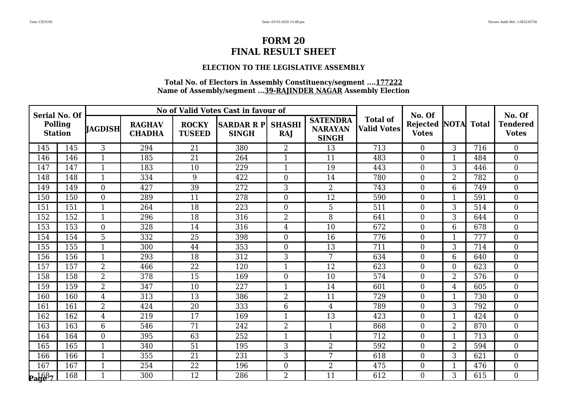### **ELECTION TO THE LEGISLATIVE ASSEMBLY**

| <b>Serial No. Of</b>             |     |                |                                |                               | No of Valid Votes Cast in favour of |                             |                                                   |                                       | No. Of                                     |                |     | No. Of                          |
|----------------------------------|-----|----------------|--------------------------------|-------------------------------|-------------------------------------|-----------------------------|---------------------------------------------------|---------------------------------------|--------------------------------------------|----------------|-----|---------------------------------|
| <b>Polling</b><br><b>Station</b> |     | <b>JAGDISH</b> | <b>RAGHAV</b><br><b>CHADHA</b> | <b>ROCKY</b><br><b>TUSEED</b> | <b>SARDAR R PI</b><br><b>SINGH</b>  | <b>SHASHI</b><br><b>RAJ</b> | <b>SATENDRA</b><br><b>NARAYAN</b><br><b>SINGH</b> | <b>Total of</b><br><b>Valid Votes</b> | <b>Rejected NOTA Total</b><br><b>Votes</b> |                |     | <b>Tendered</b><br><b>Votes</b> |
| 145                              | 145 | 3              | 294                            | 21                            | 380                                 | $\overline{2}$              | 13                                                | 713                                   | $\overline{0}$                             | 3              | 716 | $\overline{0}$                  |
| 146                              | 146 | $\mathbf{1}$   | 185                            | 21                            | 264                                 | 1                           | 11                                                | 483                                   | $\overline{0}$                             | $\mathbf 1$    | 484 | $\boldsymbol{0}$                |
| 147                              | 147 | $\mathbf{1}$   | 183                            | 10                            | 229                                 | $\mathbf{1}$                | 19                                                | 443                                   | $\mathbf{0}$                               | 3              | 446 | $\overline{0}$                  |
| 148                              | 148 | $\mathbf{1}$   | 334                            | 9                             | 422                                 | $\overline{0}$              | 14                                                | 780                                   | $\overline{0}$                             | $\overline{2}$ | 782 | $\overline{0}$                  |
| 149                              | 149 | $\overline{0}$ | 427                            | $\overline{39}$               | 272                                 | 3                           | $\overline{2}$                                    | 743                                   | $\overline{0}$                             | 6              | 749 | $\overline{0}$                  |
| 150                              | 150 | $\overline{0}$ | 289                            | 11                            | 278                                 | $\overline{0}$              | 12                                                | 590                                   | $\overline{0}$                             | $\mathbf{1}$   | 591 | $\mathbf{0}$                    |
| 151                              | 151 | $\mathbf{1}$   | 264                            | 18                            | 223                                 | $\theta$                    | 5                                                 | 511                                   | $\theta$                                   | 3              | 514 | $\overline{0}$                  |
| 152                              | 152 | 1              | 296                            | 18                            | 316                                 | $\overline{2}$              | 8                                                 | 641                                   | $\theta$                                   | 3              | 644 | $\boldsymbol{0}$                |
| 153                              | 153 | $\overline{0}$ | 328                            | 14                            | 316                                 | $\overline{4}$              | 10                                                | 672                                   | $\boldsymbol{0}$                           | 6              | 678 | $\boldsymbol{0}$                |
| 154                              | 154 | 5              | 332                            | 25                            | 398                                 | $\Omega$                    | 16                                                | 776                                   | $\theta$                                   | $\mathbf{1}$   | 777 | $\overline{0}$                  |
| 155                              | 155 | $\mathbf{1}$   | 300                            | 44                            | 353                                 | $\theta$                    | 13                                                | 711                                   | $\overline{0}$                             | 3              | 714 | $\overline{0}$                  |
| 156                              | 156 | $\mathbf{1}$   | 293                            | 18                            | 312                                 | 3                           | 7                                                 | 634                                   | $\overline{0}$                             | 6              | 640 | $\boldsymbol{0}$                |
| 157                              | 157 | $\overline{2}$ | 466                            | 22                            | 120                                 | $\mathbf{1}$                | 12                                                | 623                                   | $\overline{0}$                             | $\overline{0}$ | 623 | $\overline{0}$                  |
| 158                              | 158 | $\overline{2}$ | 378                            | 15                            | 169                                 | $\overline{0}$              | 10                                                | 574                                   | $\overline{0}$                             | $\overline{2}$ | 576 | $\overline{0}$                  |
| 159                              | 159 | $\overline{2}$ | 347                            | 10                            | 227                                 | $\overline{1}$              | 14                                                | 601                                   | $\overline{0}$                             | 4              | 605 | $\overline{0}$                  |
| 160                              | 160 | $\overline{4}$ | 313                            | 13                            | 386                                 | $\overline{2}$              | 11                                                | 729                                   | $\overline{0}$                             | $\mathbf{1}$   | 730 | $\boldsymbol{0}$                |
| 161                              | 161 | $\overline{2}$ | 424                            | 20                            | 333                                 | 6                           | 4                                                 | 789                                   | $\overline{0}$                             | 3              | 792 | $\overline{0}$                  |
| 162                              | 162 | $\overline{4}$ | 219                            | $\overline{17}$               | 169                                 | $\mathbf{1}$                | $\overline{13}$                                   | 423                                   | $\overline{0}$                             | $\mathbf{1}$   | 424 | $\overline{0}$                  |
| 163                              | 163 | 6              | 546                            | 71                            | 242                                 | $\overline{2}$              | $\mathbf{1}$                                      | 868                                   | $\theta$                                   | $\overline{2}$ | 870 | $\overline{0}$                  |
| 164                              | 164 | $\Omega$       | 395                            | 63                            | 252                                 | $\mathbf{1}$                | $\mathbf{1}$                                      | 712                                   | $\overline{0}$                             | $\mathbf{1}$   | 713 | $\overline{0}$                  |
| 165                              | 165 | $\mathbf{1}$   | 340                            | 51                            | 195                                 | 3                           | $\overline{2}$                                    | 592                                   | $\overline{0}$                             | $\overline{2}$ | 594 | $\overline{0}$                  |
| 166                              | 166 | 1              | 355                            | 21                            | 231                                 | 3                           | 7                                                 | 618                                   | $\overline{0}$                             | 3              | 621 | $\boldsymbol{0}$                |
| 167                              | 167 | $\mathbf{1}$   | 254                            | 22                            | 196                                 | $\boldsymbol{0}$            | $\overline{2}$                                    | 475                                   | $\boldsymbol{0}$                           | $\mathbf{1}$   | 476 | $\overline{0}$                  |
| <b>Page</b> 7                    | 168 | $\mathbf{1}$   | 300                            | 12                            | 286                                 | $\overline{2}$              | 11                                                | 612                                   | $\theta$                                   | 3              | 615 | $\overline{0}$                  |